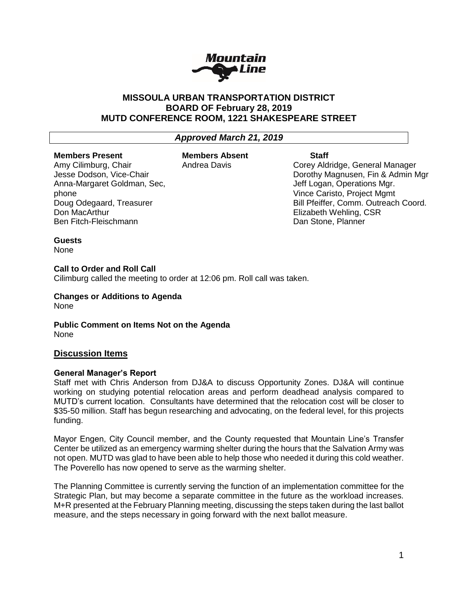

# **MISSOULA URBAN TRANSPORTATION DISTRICT BOARD OF February 28, 2019 MUTD CONFERENCE ROOM, 1221 SHAKESPEARE STREET**

# *Approved March 21, 2019*

#### **Members Present** Amy Cilimburg, Chair

Don MacArthur

Jesse Dodson, Vice-Chair Anna-Margaret Goldman, Sec,

Doug Odegaard, Treasurer

Ben Fitch-Fleischmann

**Members Absent** Andrea Davis

### **Staff**

Corey Aldridge, General Manager Dorothy Magnusen, Fin & Admin Mgr Jeff Logan, Operations Mgr. Vince Caristo, Project Mgmt Bill Pfeiffer, Comm. Outreach Coord. Elizabeth Wehling, CSR Dan Stone, Planner

### **Guests**

phone

None

### **Call to Order and Roll Call**

Cilimburg called the meeting to order at 12:06 pm. Roll call was taken.

**Changes or Additions to Agenda** None

**Public Comment on Items Not on the Agenda** None

# **Discussion Items**

### **General Manager's Report**

Staff met with Chris Anderson from DJ&A to discuss Opportunity Zones. DJ&A will continue working on studying potential relocation areas and perform deadhead analysis compared to MUTD's current location. Consultants have determined that the relocation cost will be closer to \$35-50 million. Staff has begun researching and advocating, on the federal level, for this projects funding.

Mayor Engen, City Council member, and the County requested that Mountain Line's Transfer Center be utilized as an emergency warming shelter during the hours that the Salvation Army was not open. MUTD was glad to have been able to help those who needed it during this cold weather. The Poverello has now opened to serve as the warming shelter.

The Planning Committee is currently serving the function of an implementation committee for the Strategic Plan, but may become a separate committee in the future as the workload increases. M+R presented at the February Planning meeting, discussing the steps taken during the last ballot measure, and the steps necessary in going forward with the next ballot measure.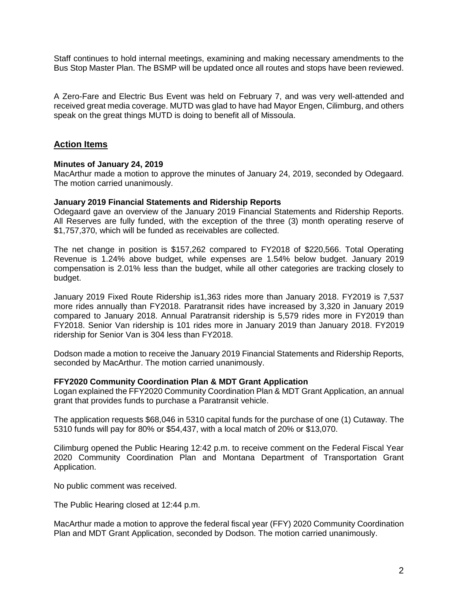Staff continues to hold internal meetings, examining and making necessary amendments to the Bus Stop Master Plan. The BSMP will be updated once all routes and stops have been reviewed.

A Zero-Fare and Electric Bus Event was held on February 7, and was very well-attended and received great media coverage. MUTD was glad to have had Mayor Engen, Cilimburg, and others speak on the great things MUTD is doing to benefit all of Missoula.

# **Action Items**

### **Minutes of January 24, 2019**

MacArthur made a motion to approve the minutes of January 24, 2019, seconded by Odegaard. The motion carried unanimously.

### **January 2019 Financial Statements and Ridership Reports**

Odegaard gave an overview of the January 2019 Financial Statements and Ridership Reports. All Reserves are fully funded, with the exception of the three (3) month operating reserve of \$1,757,370, which will be funded as receivables are collected.

The net change in position is \$157,262 compared to FY2018 of \$220,566. Total Operating Revenue is 1.24% above budget, while expenses are 1.54% below budget. January 2019 compensation is 2.01% less than the budget, while all other categories are tracking closely to budget.

January 2019 Fixed Route Ridership is1,363 rides more than January 2018. FY2019 is 7,537 more rides annually than FY2018. Paratransit rides have increased by 3,320 in January 2019 compared to January 2018. Annual Paratransit ridership is 5,579 rides more in FY2019 than FY2018. Senior Van ridership is 101 rides more in January 2019 than January 2018. FY2019 ridership for Senior Van is 304 less than FY2018.

Dodson made a motion to receive the January 2019 Financial Statements and Ridership Reports, seconded by MacArthur. The motion carried unanimously.

### **FFY2020 Community Coordination Plan & MDT Grant Application**

Logan explained the FFY2020 Community Coordination Plan & MDT Grant Application, an annual grant that provides funds to purchase a Paratransit vehicle.

The application requests \$68,046 in 5310 capital funds for the purchase of one (1) Cutaway. The 5310 funds will pay for 80% or \$54,437, with a local match of 20% or \$13,070.

Cilimburg opened the Public Hearing 12:42 p.m. to receive comment on the Federal Fiscal Year 2020 Community Coordination Plan and Montana Department of Transportation Grant Application.

No public comment was received.

The Public Hearing closed at 12:44 p.m.

MacArthur made a motion to approve the federal fiscal year (FFY) 2020 Community Coordination Plan and MDT Grant Application, seconded by Dodson. The motion carried unanimously.